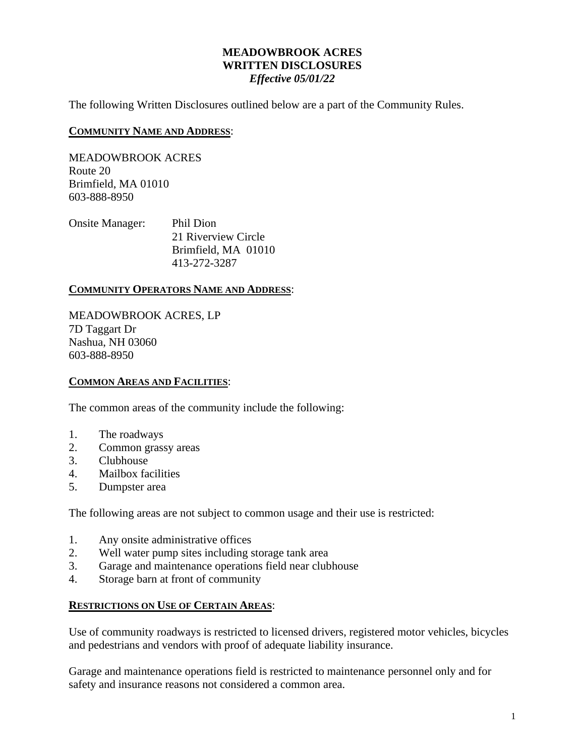### **MEADOWBROOK ACRES WRITTEN DISCLOSURES** *Effective 05/01/22*

The following Written Disclosures outlined below are a part of the Community Rules.

### **COMMUNITY NAME AND ADDRESS**:

MEADOWBROOK ACRES Route 20 Brimfield, MA 01010 603-888-8950

| <b>Onsite Manager:</b> | Phil Dion           |
|------------------------|---------------------|
|                        | 21 Riverview Circle |
|                        | Brimfield, MA 01010 |
|                        | 413-272-3287        |

### **COMMUNITY OPERATORS NAME AND ADDRESS**:

MEADOWBROOK ACRES, LP 7D Taggart Dr Nashua, NH 03060 603-888-8950

### **COMMON AREAS AND FACILITIES**:

The common areas of the community include the following:

- 1. The roadways
- 2. Common grassy areas
- 3. Clubhouse
- 4. Mailbox facilities
- 5. Dumpster area

The following areas are not subject to common usage and their use is restricted:

- 1. Any onsite administrative offices
- 2. Well water pump sites including storage tank area
- 3. Garage and maintenance operations field near clubhouse
- 4. Storage barn at front of community

### **RESTRICTIONS ON USE OF CERTAIN AREAS**:

Use of community roadways is restricted to licensed drivers, registered motor vehicles, bicycles and pedestrians and vendors with proof of adequate liability insurance.

Garage and maintenance operations field is restricted to maintenance personnel only and for safety and insurance reasons not considered a common area.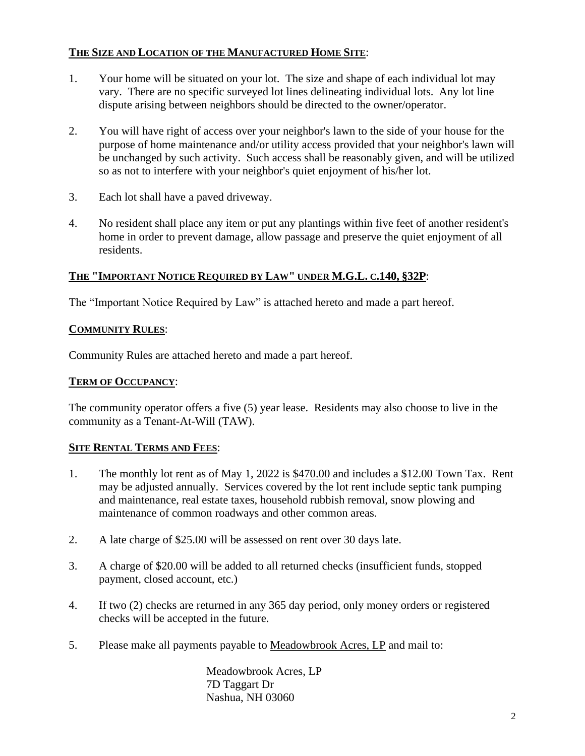## **THE SIZE AND LOCATION OF THE MANUFACTURED HOME SITE**:

- 1. Your home will be situated on your lot. The size and shape of each individual lot may vary. There are no specific surveyed lot lines delineating individual lots. Any lot line dispute arising between neighbors should be directed to the owner/operator.
- 2. You will have right of access over your neighbor's lawn to the side of your house for the purpose of home maintenance and/or utility access provided that your neighbor's lawn will be unchanged by such activity. Such access shall be reasonably given, and will be utilized so as not to interfere with your neighbor's quiet enjoyment of his/her lot.
- 3. Each lot shall have a paved driveway.
- 4. No resident shall place any item or put any plantings within five feet of another resident's home in order to prevent damage, allow passage and preserve the quiet enjoyment of all residents.

## **THE "IMPORTANT NOTICE REQUIRED BY LAW" UNDER M.G.L. C.140, §32P**:

The "Important Notice Required by Law" is attached hereto and made a part hereof.

## **COMMUNITY RULES**:

Community Rules are attached hereto and made a part hereof.

## **TERM OF OCCUPANCY**:

The community operator offers a five (5) year lease. Residents may also choose to live in the community as a Tenant-At-Will (TAW).

## **SITE RENTAL TERMS AND FEES**:

- 1. The monthly lot rent as of May 1, 2022 is \$470.00 and includes a \$12.00 Town Tax. Rent may be adjusted annually. Services covered by the lot rent include septic tank pumping and maintenance, real estate taxes, household rubbish removal, snow plowing and maintenance of common roadways and other common areas.
- 2. A late charge of \$25.00 will be assessed on rent over 30 days late.
- 3. A charge of \$20.00 will be added to all returned checks (insufficient funds, stopped payment, closed account, etc.)
- 4. If two (2) checks are returned in any 365 day period, only money orders or registered checks will be accepted in the future.
- 5. Please make all payments payable to Meadowbrook Acres, LP and mail to:

Meadowbrook Acres, LP 7D Taggart Dr Nashua, NH 03060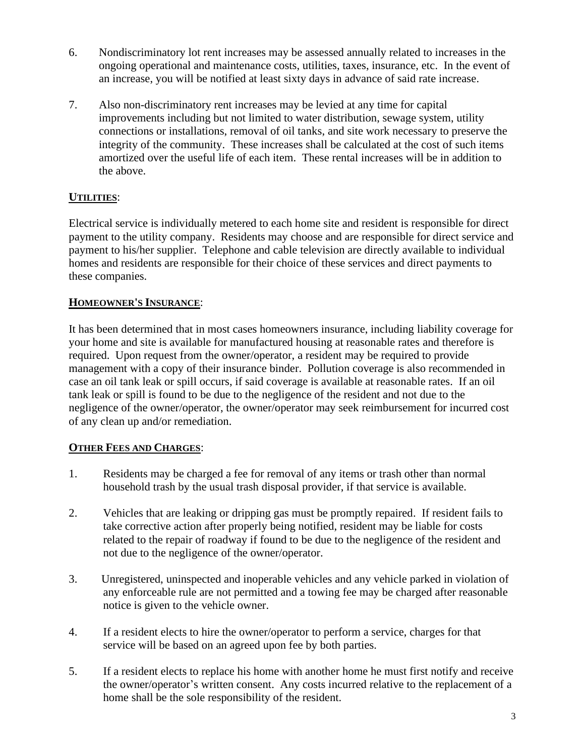- 6. Nondiscriminatory lot rent increases may be assessed annually related to increases in the ongoing operational and maintenance costs, utilities, taxes, insurance, etc. In the event of an increase, you will be notified at least sixty days in advance of said rate increase.
- 7. Also non-discriminatory rent increases may be levied at any time for capital improvements including but not limited to water distribution, sewage system, utility connections or installations, removal of oil tanks, and site work necessary to preserve the integrity of the community. These increases shall be calculated at the cost of such items amortized over the useful life of each item. These rental increases will be in addition to the above.

# **UTILITIES**:

Electrical service is individually metered to each home site and resident is responsible for direct payment to the utility company. Residents may choose and are responsible for direct service and payment to his/her supplier. Telephone and cable television are directly available to individual homes and residents are responsible for their choice of these services and direct payments to these companies.

## **HOMEOWNER'S INSURANCE**:

It has been determined that in most cases homeowners insurance, including liability coverage for your home and site is available for manufactured housing at reasonable rates and therefore is required. Upon request from the owner/operator, a resident may be required to provide management with a copy of their insurance binder. Pollution coverage is also recommended in case an oil tank leak or spill occurs, if said coverage is available at reasonable rates. If an oil tank leak or spill is found to be due to the negligence of the resident and not due to the negligence of the owner/operator, the owner/operator may seek reimbursement for incurred cost of any clean up and/or remediation.

# **OTHER FEES AND CHARGES**:

- 1. Residents may be charged a fee for removal of any items or trash other than normal household trash by the usual trash disposal provider, if that service is available.
- 2. Vehicles that are leaking or dripping gas must be promptly repaired. If resident fails to take corrective action after properly being notified, resident may be liable for costs related to the repair of roadway if found to be due to the negligence of the resident and not due to the negligence of the owner/operator.
- 3. Unregistered, uninspected and inoperable vehicles and any vehicle parked in violation of any enforceable rule are not permitted and a towing fee may be charged after reasonable notice is given to the vehicle owner.
- 4. If a resident elects to hire the owner/operator to perform a service, charges for that service will be based on an agreed upon fee by both parties.
- 5. If a resident elects to replace his home with another home he must first notify and receive the owner/operator's written consent. Any costs incurred relative to the replacement of a home shall be the sole responsibility of the resident.